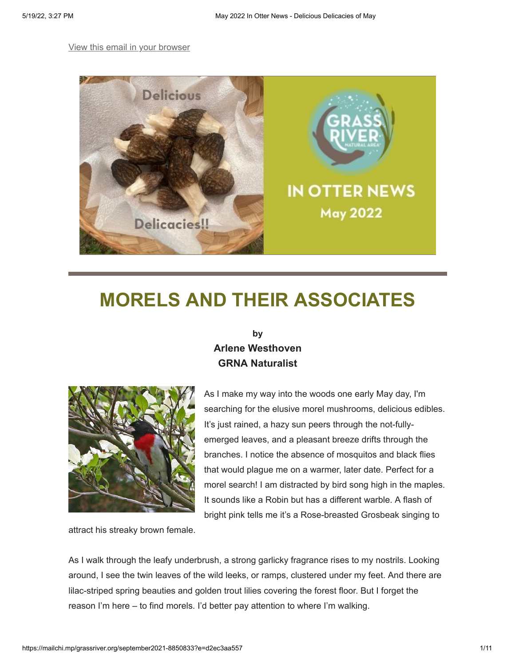#### [View this email in your browser](https://mailchi.mp/grassriver.org/september2021-8850833?e=d2ec3aa557)



# **MORELS AND THEIR ASSOCIATES**

### **by Arlene Westhoven GRNA Naturalist**



As I make my way into the woods one early May day, I'm searching for the elusive morel mushrooms, delicious edibles. It's just rained, a hazy sun peers through the not-fullyemerged leaves, and a pleasant breeze drifts through the branches. I notice the absence of mosquitos and black flies that would plague me on a warmer, later date. Perfect for a morel search! I am distracted by bird song high in the maples. It sounds like a Robin but has a different warble. A flash of bright pink tells me it's a Rose-breasted Grosbeak singing to

attract his streaky brown female.

As I walk through the leafy underbrush, a strong garlicky fragrance rises to my nostrils. Looking around, I see the twin leaves of the wild leeks, or ramps, clustered under my feet. And there are lilac-striped spring beauties and golden trout lilies covering the forest floor. But I forget the reason I'm here – to find morels. I'd better pay attention to where I'm walking.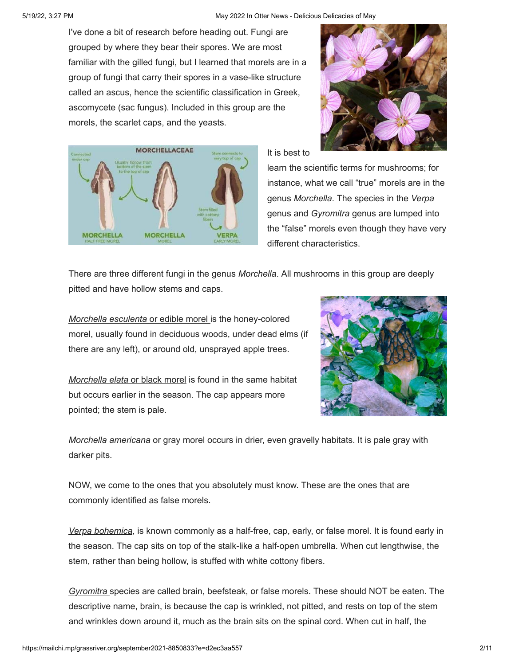I've done a bit of research before heading out. Fungi are grouped by where they bear their spores. We are most familiar with the gilled fungi, but I learned that morels are in a group of fungi that carry their spores in a vase-like structure called an ascus, hence the scientific classification in Greek, ascomycete (sac fungus). Included in this group are the morels, the scarlet caps, and the yeasts.





It is best to

learn the scientific terms for mushrooms; for instance, what we call "true" morels are in the genus *Morchella*. The species in the *Verpa* genus and *Gyromitra* genus are lumped into the "false" morels even though they have very different characteristics.

There are three different fungi in the genus *Morchella*. All mushrooms in this group are deeply pitted and have hollow stems and caps.

*Morchella esculenta* or edible morel is the honey-colored morel, usually found in deciduous woods, under dead elms (if there are any left), or around old, unsprayed apple trees.

*Morchella elata* or black morel is found in the same habitat but occurs earlier in the season. The cap appears more pointed; the stem is pale.



*Morchella americana* or gray morel occurs in drier, even gravelly habitats. It is pale gray with darker pits.

NOW, we come to the ones that you absolutely must know. These are the ones that are commonly identified as false morels.

*Verpa bohemica*, is known commonly as a half-free, cap, early, or false morel. It is found early in the season. The cap sits on top of the stalk-like a half-open umbrella. When cut lengthwise, the stem, rather than being hollow, is stuffed with white cottony fibers.

*Gyromitra* species are called brain, beefsteak, or false morels. These should NOT be eaten. The descriptive name, brain, is because the cap is wrinkled, not pitted, and rests on top of the stem and wrinkles down around it, much as the brain sits on the spinal cord. When cut in half, the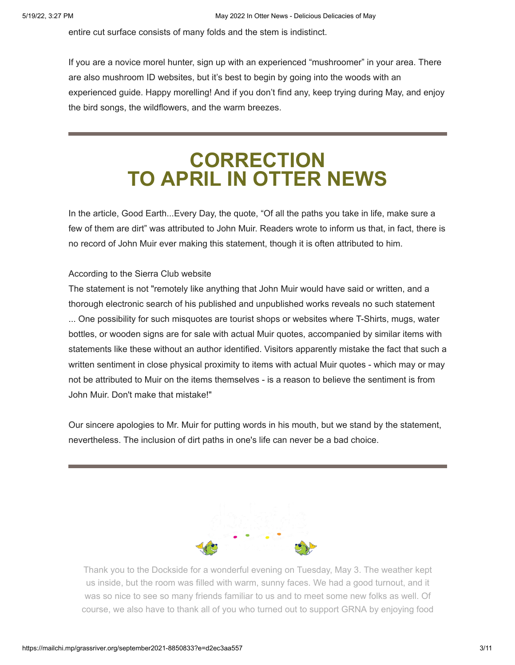entire cut surface consists of many folds and the stem is indistinct.

If you are a novice morel hunter, sign up with an experienced "mushroomer" in your area. There are also mushroom ID websites, but it's best to begin by going into the woods with an experienced guide. Happy morelling! And if you don't find any, keep trying during May, and enjoy the bird songs, the wildflowers, and the warm breezes.

# **CORRECTION TO APRIL IN OTTER NEWS**

In the article, Good Earth...Every Day, the quote, "Of all the paths you take in life, make sure a few of them are dirt" was attributed to John Muir. Readers wrote to inform us that, in fact, there is no record of John Muir ever making this statement, though it is often attributed to him.

#### According to the Sierra Club website

The statement is not "remotely like anything that John Muir would have said or written, and a thorough electronic search of his published and unpublished works reveals no such statement ... One possibility for such misquotes are tourist shops or websites where T-Shirts, mugs, water bottles, or wooden signs are for sale with actual Muir quotes, accompanied by similar items with statements like these without an author identified. Visitors apparently mistake the fact that such a written sentiment in close physical proximity to items with actual Muir quotes - which may or may not be attributed to Muir on the items themselves - is a reason to believe the sentiment is from John Muir. Don't make that mistake!"

Our sincere apologies to Mr. Muir for putting words in his mouth, but we stand by the statement, nevertheless. The inclusion of dirt paths in one's life can never be a bad choice.



Thank you to the Dockside for a wonderful evening on Tuesday, May 3. The weather kept us inside, but the room was filled with warm, sunny faces. We had a good turnout, and it was so nice to see so many friends familiar to us and to meet some new folks as well. Of course, we also have to thank all of you who turned out to support GRNA by enjoying food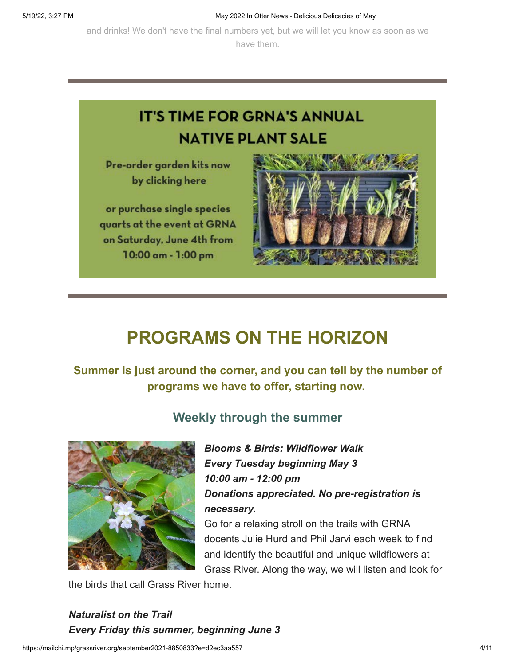and drinks! We don't have the final numbers yet, but we will let you know as soon as we have them.



## **PROGRAMS ON THE HORIZON**

**Summer is just around the corner, and you can tell by the number of programs we have to offer, starting now.**



## **Weekly through the summer**

*Blooms & Birds: Wildflower Walk Every Tuesday beginning May 3 10:00 am - 12:00 pm Donations appreciated. No pre-registration is necessary.*

Go for a relaxing stroll on the trails with GRNA docents Julie Hurd and Phil Jarvi each week to find and identify the beautiful and unique wildflowers at Grass River. Along the way, we will listen and look for

the birds that call Grass River home.

*Naturalist on the Trail Every Friday this summer, beginning June 3*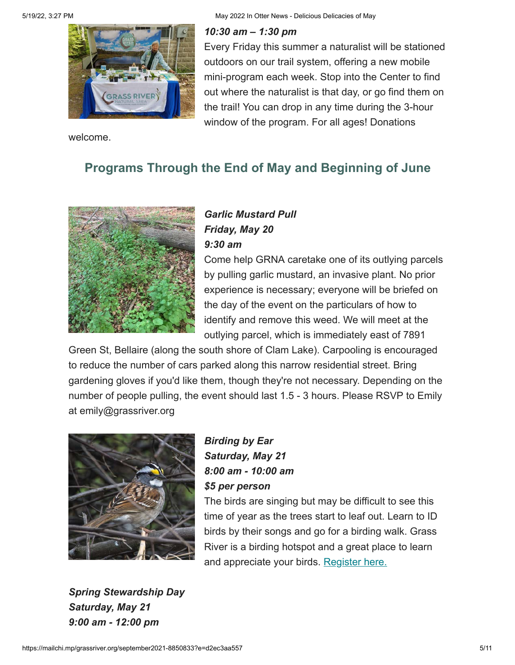5/19/22, 3:27 PM May 2022 In Otter News - Delicious Delicacies of May

#### *10:30 am – 1:30 pm*



welcome.

Every Friday this summer a naturalist will be stationed outdoors on our trail system, offering a new mobile mini-program each week. Stop into the Center to find out where the naturalist is that day, or go find them on the trail! You can drop in any time during the 3-hour window of the program. For all ages! Donations

## **Programs Through the End of May and Beginning of June**



## *Garlic Mustard Pull Friday, May 20 9:30 am*

Come help GRNA caretake one of its outlying parcels by pulling garlic mustard, an invasive plant. No prior experience is necessary; everyone will be briefed on the day of the event on the particulars of how to identify and remove this weed. We will meet at the outlying parcel, which is immediately east of 7891

Green St, Bellaire (along the south shore of Clam Lake). Carpooling is encouraged to reduce the number of cars parked along this narrow residential street. Bring gardening gloves if you'd like them, though they're not necessary. Depending on the number of people pulling, the event should last 1.5 - 3 hours. Please RSVP to Emily at emily@grassriver.org



*Birding by Ear Saturday, May 21 8:00 am - 10:00 am \$5 per person*

The birds are singing but may be difficult to see this time of year as the trees start to leaf out. Learn to ID birds by their songs and go for a birding walk. Grass River is a birding hotspot and a great place to learn and appreciate your birds. [Register here.](https://www.grassriver.org/classes-and-programs.html)

*Spring Stewardship Day Saturday, May 21 9:00 am - 12:00 pm*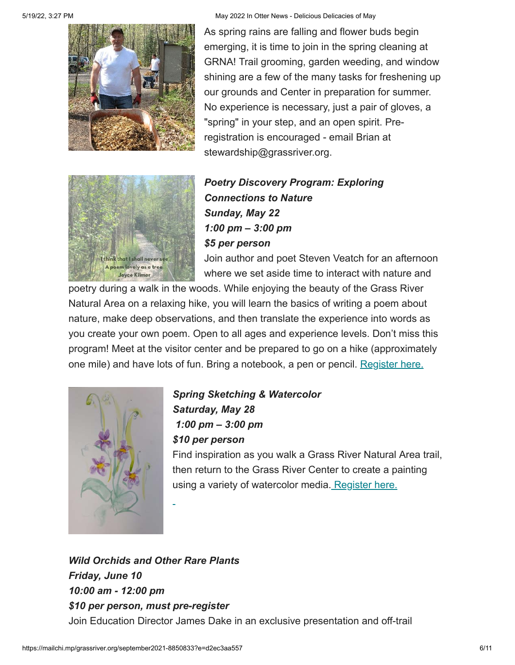

As spring rains are falling and flower buds begin emerging, it is time to join in the spring cleaning at GRNA! Trail grooming, garden weeding, and window shining are a few of the many tasks for freshening up our grounds and Center in preparation for summer. No experience is necessary, just a pair of gloves, a "spring" in your step, and an open spirit. Preregistration is encouraged - email Brian at stewardship@grassriver.org.



*Poetry Discovery Program: Exploring Connections to Nature Sunday, May 22 1:00 pm – 3:00 pm \$5 per person*

Join author and poet Steven Veatch for an afternoon where we set aside time to interact with nature and

poetry during a walk in the woods. While enjoying the beauty of the Grass River Natural Area on a relaxing hike, you will learn the basics of writing a poem about nature, make deep observations, and then translate the experience into words as you create your own poem. Open to all ages and experience levels. Don't miss this program! Meet at the visitor center and be prepared to go on a hike (approximately one mile) and have lots of fun. Bring a notebook, a pen or pencil. [Register here.](https://www.grassriver.org/classes-and-programs.html)



*Spring Sketching & Watercolor Saturday, May 28 1:00 pm – 3:00 pm \$10 per person* Find inspiration as you walk a Grass River Natural Area trail,

then return to the Grass River Center to create a painting [using a variety of watercolor media. Register here.](https://www.grassriver.org/classes-and-programs.html)

*Wild Orchids and Other Rare Plants Friday, June 10 10:00 am - 12:00 pm \$10 per person, must pre-register* Join Education Director James Dake in an exclusive presentation and off-trail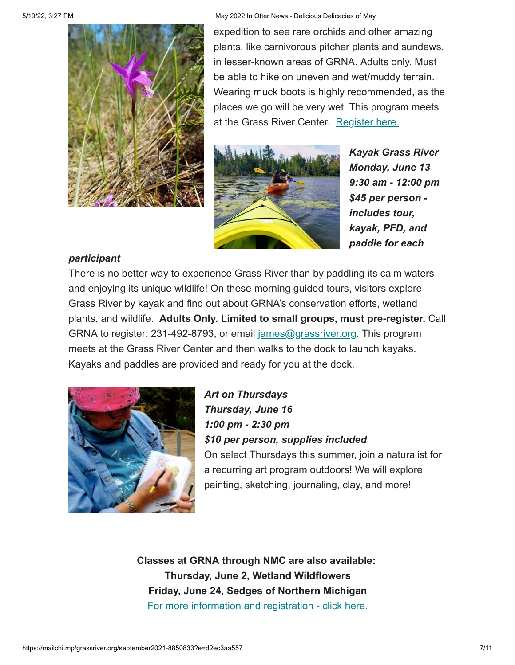

5/19/22, 3:27 PM May 2022 In Otter News - Delicious Delicacies of May

expedition to see rare orchids and other amazing plants, like carnivorous pitcher plants and sundews, in lesser-known areas of GRNA. Adults only. Must be able to hike on uneven and wet/muddy terrain. Wearing muck boots is highly recommended, as the places we go will be very wet. This program meets at the Grass River Center. [Register here.](https://www.grassriver.org/classes-and-programs.html)



*Kayak Grass River Monday, June 13 9:30 am - 12:00 pm \$45 per person includes tour, kayak, PFD, and paddle for each*

### *participant*

There is no better way to experience Grass River than by paddling its calm waters and enjoying its unique wildlife! On these morning guided tours, visitors explore Grass River by kayak and find out about GRNA's conservation efforts, wetland plants, and wildlife. **Adults Only. Limited to small groups, must pre-register.** Call GRNA to register: 231-492-8793, or email [james@grassriver.org.](mailto:james@grassriver.org) This program meets at the Grass River Center and then walks to the dock to launch kayaks. Kayaks and paddles are provided and ready for you at the dock.



*Art on Thursdays Thursday, June 16 1:00 pm - 2:30 pm \$10 per person, supplies included* On select Thursdays this summer, join a naturalist for a recurring art program outdoors! We will explore painting, sketching, journaling, clay, and more!

**Classes at GRNA through NMC are also available: Thursday, June 2, Wetland Wildflowers Friday, June 24, Sedges of Northern Michigan** For more [information and registration - click here.](http://%20https//nmc.augusoft.net/index.cfm?method=ClassListing.ClassListingDisplay)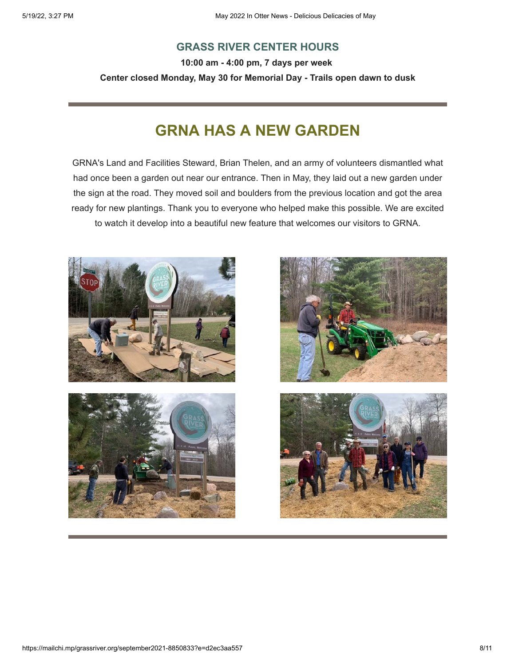### **GRASS RIVER CENTER HOURS**

**10:00 am - 4:00 pm, 7 days per week Center closed Monday, May 30 for Memorial Day - Trails open dawn to dusk**

## **GRNA HAS A NEW GARDEN**

GRNA's Land and Facilities Steward, Brian Thelen, and an army of volunteers dismantled what had once been a garden out near our entrance. Then in May, they laid out a new garden under the sign at the road. They moved soil and boulders from the previous location and got the area ready for new plantings. Thank you to everyone who helped make this possible. We are excited to watch it develop into a beautiful new feature that welcomes our visitors to GRNA.





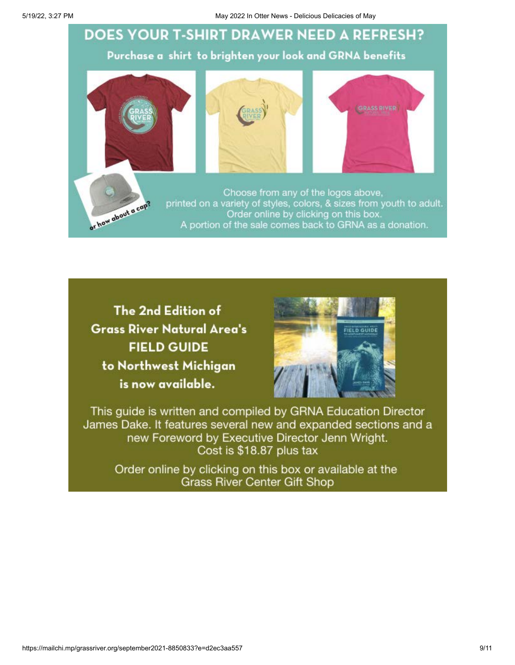5/19/22, 3:27 PM May 2022 In Otter News - Delicious Delicacies of May 2022 In Otter News - Delicious Delicacies of May



The 2nd Edition of **Grass River Natural Area's FIELD GUIDE** to Northwest Michigan is now available.



This guide is written and compiled by GRNA Education Director James Dake. It features several new and expanded sections and a new Foreword by Executive Director Jenn Wright. Cost is \$18.87 plus tax

Order online by clicking on this box or available at the **Grass River Center Gift Shop**